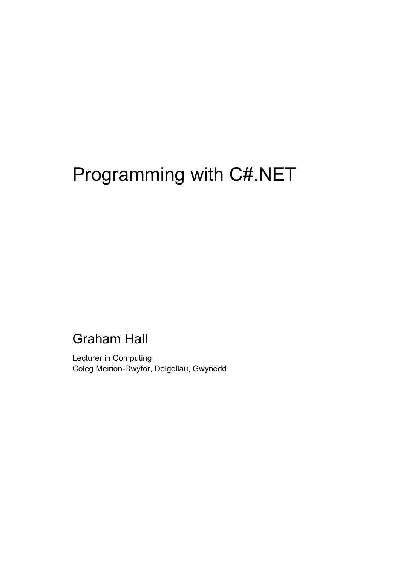# Programming with C#.NET

#### Graham Hall

Lecturer in Computing Coleg Meirion-Dwyfor, Dolgellau, Gwynedd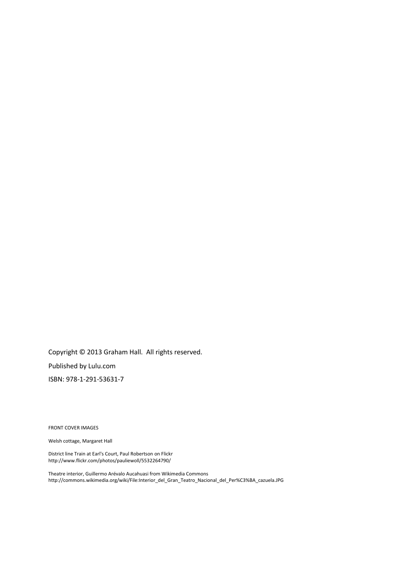Copyright © 2013 Graham Hall. All rights reserved. Published by Lulu.com ISBN: 978-1-291-53631-7

FRONT COVER IMAGES

Welsh cottage, Margaret Hall

District line Train at Earl's Court[, Paul Robertson](http://www.flickr.com/photos/pauliewoll/) on Flickr http://www.flickr.com/photos/pauliewoll/5532264790/

Theatre interior, Guillermo Arévalo Aucahuasi from Wikimedia Commons http://commons.wikimedia.org/wiki/File:Interior\_del\_Gran\_Teatro\_Nacional\_del\_Per%C3%BA\_cazuela.JPG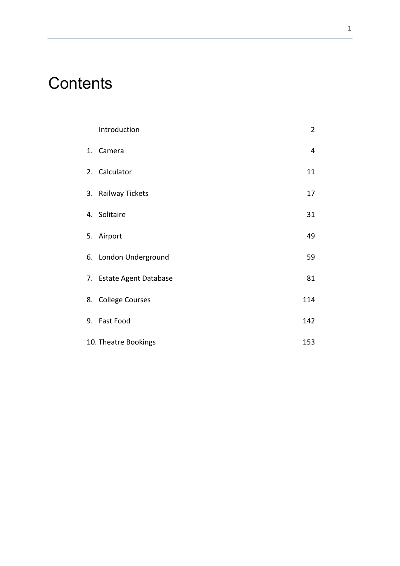## **Contents**

| Introduction             | $\overline{2}$ |
|--------------------------|----------------|
| 1. Camera                | $\overline{4}$ |
| 2. Calculator            | 11             |
| 3. Railway Tickets       | 17             |
| 4. Solitaire             | 31             |
| 5. Airport               | 49             |
| 6. London Underground    | 59             |
| 7. Estate Agent Database | 81             |
| 8. College Courses       | 114            |
| 9. Fast Food             | 142            |
| 10. Theatre Bookings     | 153            |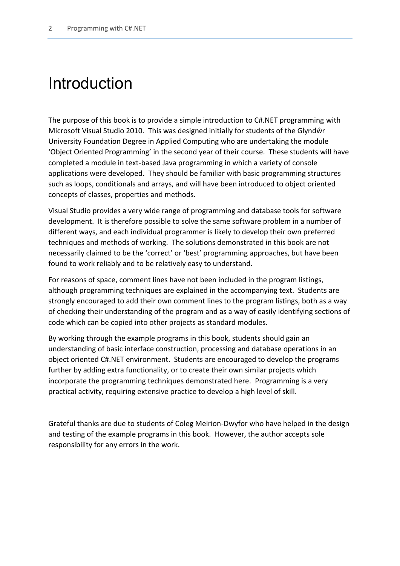### Introduction

The purpose of this book is to provide a simple introduction to C#.NET programming with Microsoft Visual Studio 2010. This was designed initially for students of the Glyndŵr University Foundation Degree in Applied Computing who are undertaking the module 'Object Oriented Programming' in the second year of their course. These students will have completed a module in text-based Java programming in which a variety of console applications were developed. They should be familiar with basic programming structures such as loops, conditionals and arrays, and will have been introduced to object oriented concepts of classes, properties and methods.

Visual Studio provides a very wide range of programming and database tools for software development. It is therefore possible to solve the same software problem in a number of different ways, and each individual programmer is likely to develop their own preferred techniques and methods of working. The solutions demonstrated in this book are not necessarily claimed to be the 'correct' or 'best' programming approaches, but have been found to work reliably and to be relatively easy to understand.

For reasons of space, comment lines have not been included in the program listings, although programming techniques are explained in the accompanying text. Students are strongly encouraged to add their own comment lines to the program listings, both as a way of checking their understanding of the program and as a way of easily identifying sections of code which can be copied into other projects as standard modules.

By working through the example programs in this book, students should gain an understanding of basic interface construction, processing and database operations in an object oriented C#.NET environment. Students are encouraged to develop the programs further by adding extra functionality, or to create their own similar projects which incorporate the programming techniques demonstrated here. Programming is a very practical activity, requiring extensive practice to develop a high level of skill.

Grateful thanks are due to students of Coleg Meirion-Dwyfor who have helped in the design and testing of the example programs in this book. However, the author accepts sole responsibility for any errors in the work.